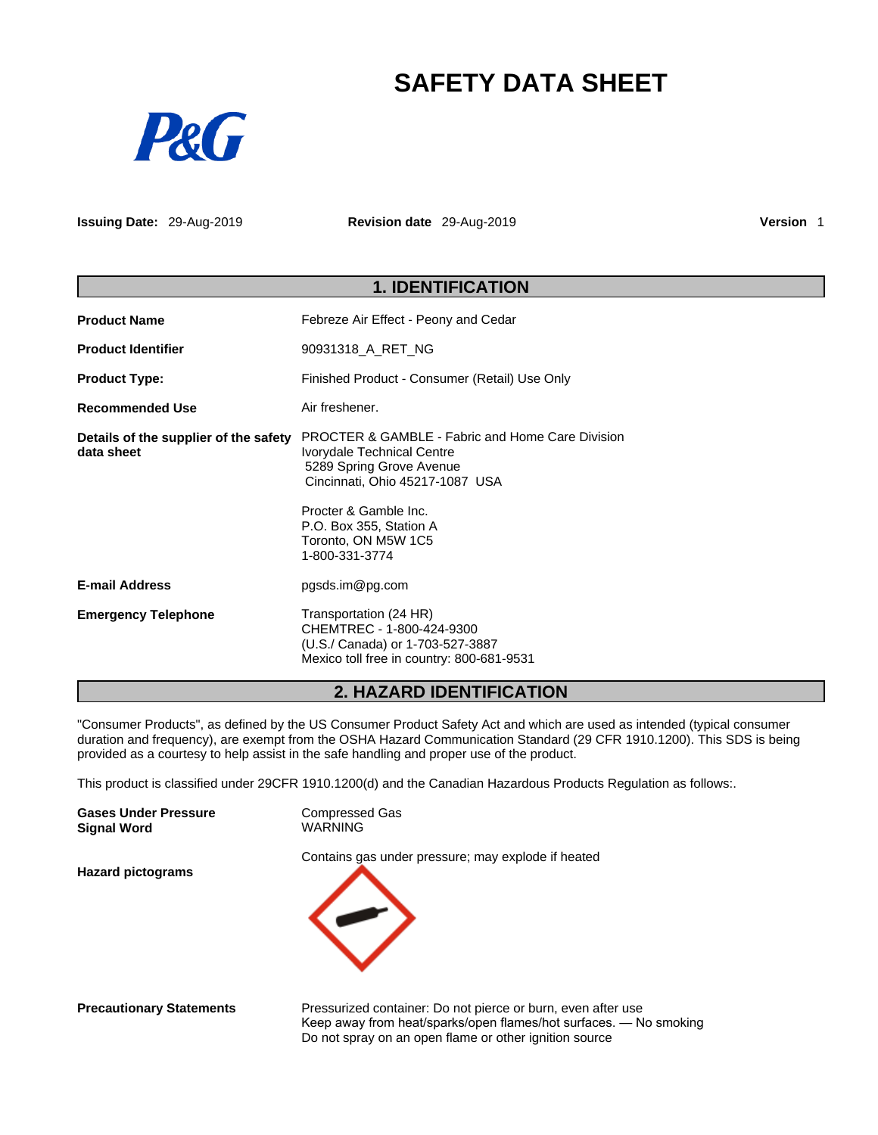# **SAFETY DATA SHEET**



**Issuing Date:** 29-Aug-2019 **Revision date** 29-Aug-2019 **Version** 1

|                                                     | <b>1. IDENTIFICATION</b>                                                                                                                                                                                                                              |  |  |
|-----------------------------------------------------|-------------------------------------------------------------------------------------------------------------------------------------------------------------------------------------------------------------------------------------------------------|--|--|
| <b>Product Name</b>                                 | Febreze Air Effect - Peony and Cedar                                                                                                                                                                                                                  |  |  |
| <b>Product Identifier</b>                           | 90931318_A_RET_NG                                                                                                                                                                                                                                     |  |  |
| <b>Product Type:</b>                                | Finished Product - Consumer (Retail) Use Only                                                                                                                                                                                                         |  |  |
| <b>Recommended Use</b>                              | Air freshener.                                                                                                                                                                                                                                        |  |  |
| Details of the supplier of the safety<br>data sheet | <b>PROCTER &amp; GAMBLE - Fabric and Home Care Division</b><br>Ivorydale Technical Centre<br>5289 Spring Grove Avenue<br>Cincinnati, Ohio 45217-1087 USA<br>Procter & Gamble Inc.<br>P.O. Box 355, Station A<br>Toronto, ON M5W 1C5<br>1-800-331-3774 |  |  |
| <b>E-mail Address</b>                               | pgsds.im@pg.com                                                                                                                                                                                                                                       |  |  |
| <b>Emergency Telephone</b>                          | Transportation (24 HR)<br>CHEMTREC - 1-800-424-9300<br>(U.S./ Canada) or 1-703-527-3887<br>Mexico toll free in country: 800-681-9531                                                                                                                  |  |  |

# **2. HAZARD IDENTIFICATION**

"Consumer Products", as defined by the US Consumer Product Safety Act and which are used as intended (typical consumer duration and frequency), are exempt from the OSHA Hazard Communication Standard (29 CFR 1910.1200). This SDS is being provided as a courtesy to help assist in the safe handling and proper use of the product.

This product is classified under 29CFR 1910.1200(d) and the Canadian Hazardous Products Regulation as follows:.

| <b>Gases Under Pressure</b>                                                                                     | <b>Compressed Gas</b>                                                                                           |
|-----------------------------------------------------------------------------------------------------------------|-----------------------------------------------------------------------------------------------------------------|
| <b>Signal Word</b>                                                                                              | <b>WARNING</b>                                                                                                  |
| <b>Hazard pictograms</b>                                                                                        | Contains gas under pressure; may explode if heated                                                              |
|                                                                                                                 | the contract of the contract of the contract of the contract of the contract of the contract of the contract of |
| the contract of the contract of the contract of the contract of the contract of the contract of the contract of | $\sim$                                                                                                          |

**Precautionary Statements** Pressurized container: Do not pierce or burn, even after use Keep away from heat/sparks/open flames/hot surfaces. — No smoking Do not spray on an open flame or other ignition source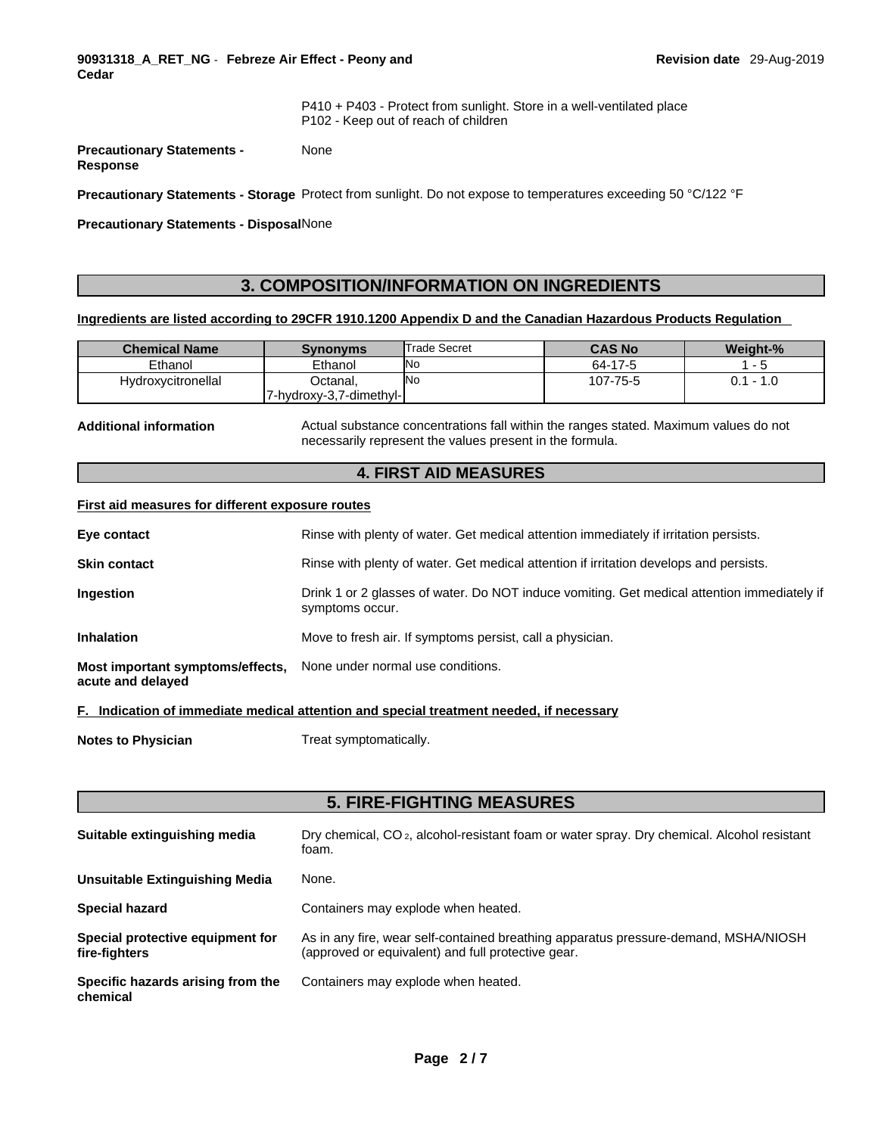**90931318\_A\_RET\_NG** - **Febreze Air Effect - Peony and Cedar** 

P410 + P403 - Protect from sunlight. Store in a well-ventilated place P102 - Keep out of reach of children

**Precautionary Statements - Response**  None

**Precautionary Statements - Storage** Protect from sunlight. Do not expose to temperatures exceeding 50 °C/122 °F

**Precautionary Statements - Disposal**None

# **3. COMPOSITION/INFORMATION ON INGREDIENTS**

# **Ingredients are listed according to 29CFR 1910.1200 Appendix D and the Canadian Hazardous Products Regulation**

| <b>Chemical Name</b> | Synonyms                | Trade Secret | <b>CAS No</b> | Weight-% |
|----------------------|-------------------------|--------------|---------------|----------|
| Ethanol              | Ethanol                 | <b>No</b>    | 64-17-5       |          |
| Hydroxycitronellal   | Octanal.                | <b>INo</b>   | 107-75-5      | 1.0      |
|                      | 7-hydroxy-3,7-dimethyl- |              |               |          |

**Additional information** Actual substance concentrations fall within the ranges stated. Maximum values do not necessarily represent the values present in the formula.

# **4. FIRST AID MEASURES**

# **First aid measures for different exposure routes**

| Eye contact                                                                             | Rinse with plenty of water. Get medical attention immediately if irritation persists.                          |
|-----------------------------------------------------------------------------------------|----------------------------------------------------------------------------------------------------------------|
| <b>Skin contact</b>                                                                     | Rinse with plenty of water. Get medical attention if irritation develops and persists.                         |
| Ingestion                                                                               | Drink 1 or 2 glasses of water. Do NOT induce vomiting. Get medical attention immediately if<br>symptoms occur. |
| <b>Inhalation</b>                                                                       | Move to fresh air. If symptoms persist, call a physician.                                                      |
| Most important symptoms/effects, None under normal use conditions.<br>acute and delayed |                                                                                                                |

### **F. Indication of immediate medical attention and special treatment needed, if necessary**

**Notes to Physician** Treat symptomatically.

# **5. FIRE-FIGHTING MEASURES**

| Suitable extinguishing media                      | Dry chemical, CO <sub>2</sub> , alcohol-resistant foam or water spray. Dry chemical. Alcohol resistant<br>foam.                           |
|---------------------------------------------------|-------------------------------------------------------------------------------------------------------------------------------------------|
| Unsuitable Extinguishing Media                    | None.                                                                                                                                     |
| <b>Special hazard</b>                             | Containers may explode when heated.                                                                                                       |
| Special protective equipment for<br>fire-fighters | As in any fire, wear self-contained breathing apparatus pressure-demand, MSHA/NIOSH<br>(approved or equivalent) and full protective gear. |
| Specific hazards arising from the<br>chemical     | Containers may explode when heated.                                                                                                       |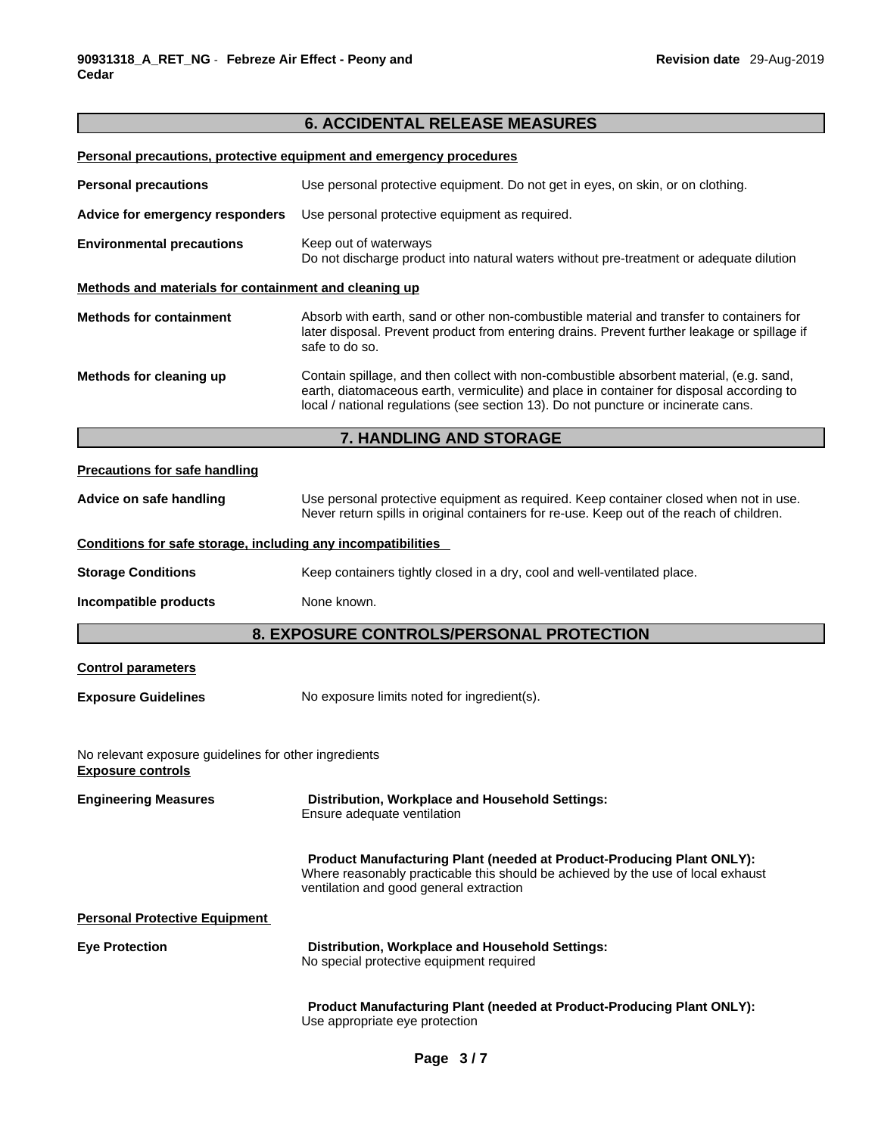# **6. ACCIDENTAL RELEASE MEASURES**

|                                                                                   | Personal precautions, protective equipment and emergency procedures                                                                                                                                                                                                       |  |  |  |
|-----------------------------------------------------------------------------------|---------------------------------------------------------------------------------------------------------------------------------------------------------------------------------------------------------------------------------------------------------------------------|--|--|--|
| <b>Personal precautions</b>                                                       | Use personal protective equipment. Do not get in eyes, on skin, or on clothing.                                                                                                                                                                                           |  |  |  |
| Advice for emergency responders                                                   | Use personal protective equipment as required.                                                                                                                                                                                                                            |  |  |  |
| <b>Environmental precautions</b>                                                  | Keep out of waterways<br>Do not discharge product into natural waters without pre-treatment or adequate dilution                                                                                                                                                          |  |  |  |
| Methods and materials for containment and cleaning up                             |                                                                                                                                                                                                                                                                           |  |  |  |
| <b>Methods for containment</b>                                                    | Absorb with earth, sand or other non-combustible material and transfer to containers for<br>later disposal. Prevent product from entering drains. Prevent further leakage or spillage if<br>safe to do so.                                                                |  |  |  |
| Methods for cleaning up                                                           | Contain spillage, and then collect with non-combustible absorbent material, (e.g. sand,<br>earth, diatomaceous earth, vermiculite) and place in container for disposal according to<br>local / national regulations (see section 13). Do not puncture or incinerate cans. |  |  |  |
|                                                                                   | 7. HANDLING AND STORAGE                                                                                                                                                                                                                                                   |  |  |  |
| <b>Precautions for safe handling</b>                                              |                                                                                                                                                                                                                                                                           |  |  |  |
| Advice on safe handling                                                           | Use personal protective equipment as required. Keep container closed when not in use.<br>Never return spills in original containers for re-use. Keep out of the reach of children.                                                                                        |  |  |  |
| Conditions for safe storage, including any incompatibilities                      |                                                                                                                                                                                                                                                                           |  |  |  |
| <b>Storage Conditions</b>                                                         | Keep containers tightly closed in a dry, cool and well-ventilated place.                                                                                                                                                                                                  |  |  |  |
| Incompatible products                                                             | None known.                                                                                                                                                                                                                                                               |  |  |  |
|                                                                                   | 8. EXPOSURE CONTROLS/PERSONAL PROTECTION                                                                                                                                                                                                                                  |  |  |  |
| <b>Control parameters</b>                                                         |                                                                                                                                                                                                                                                                           |  |  |  |
| <b>Exposure Guidelines</b>                                                        | No exposure limits noted for ingredient(s).                                                                                                                                                                                                                               |  |  |  |
| No relevant exposure guidelines for other ingredients<br><b>Exposure controls</b> |                                                                                                                                                                                                                                                                           |  |  |  |
| <b>Engineering Measures</b>                                                       | Distribution, Workplace and Household Settings:<br>Ensure adequate ventilation                                                                                                                                                                                            |  |  |  |
|                                                                                   | <b>Product Manufacturing Plant (needed at Product-Producing Plant ONLY):</b><br>Where reasonably practicable this should be achieved by the use of local exhaust<br>ventilation and good general extraction                                                               |  |  |  |
| <b>Personal Protective Equipment</b>                                              |                                                                                                                                                                                                                                                                           |  |  |  |
| <b>Eye Protection</b>                                                             | Distribution, Workplace and Household Settings:<br>No special protective equipment required                                                                                                                                                                               |  |  |  |
|                                                                                   | Product Manufacturing Plant (needed at Product-Producing Plant ONLY):<br>Use appropriate eye protection                                                                                                                                                                   |  |  |  |
|                                                                                   |                                                                                                                                                                                                                                                                           |  |  |  |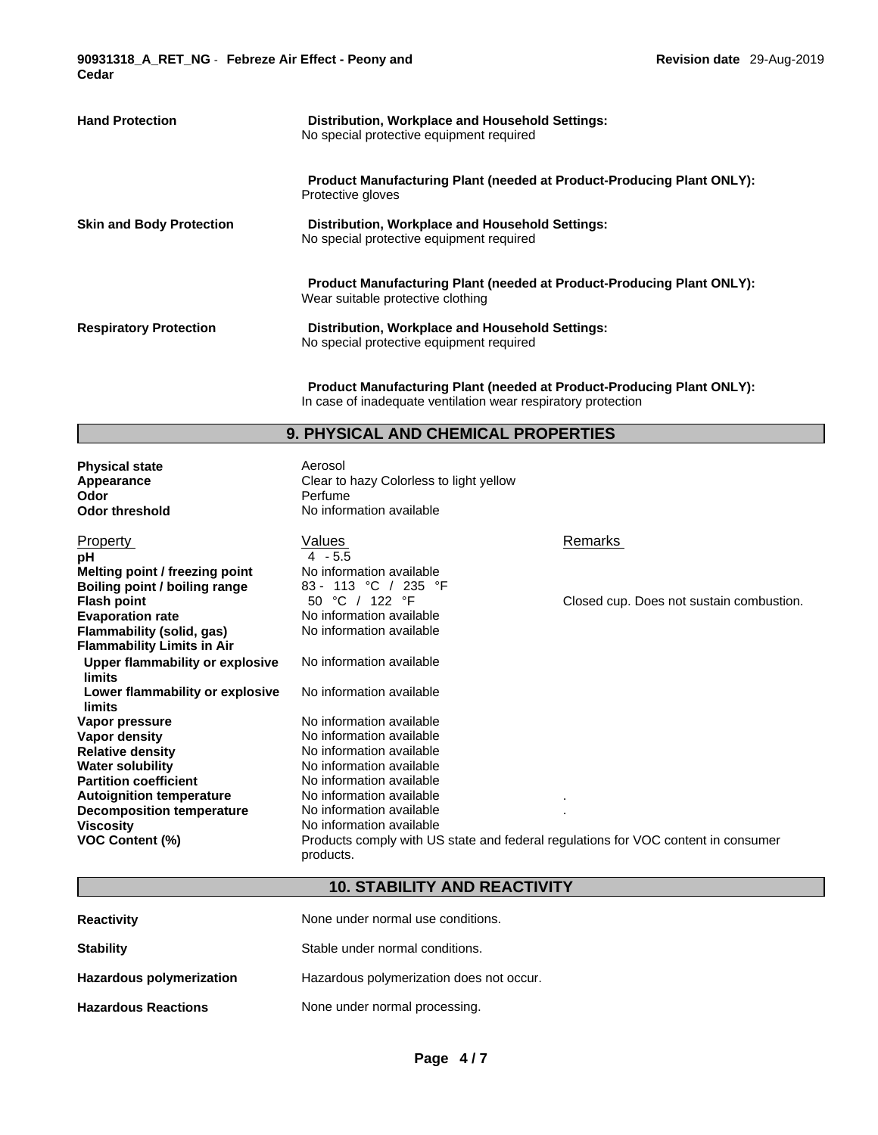**90931318\_A\_RET\_NG** - **Febreze Air Effect - Peony and Cedar** 

| <b>Hand Protection</b>          | Distribution, Workplace and Household Settings:<br>No special protective equipment required                       |
|---------------------------------|-------------------------------------------------------------------------------------------------------------------|
|                                 | <b>Product Manufacturing Plant (needed at Product-Producing Plant ONLY):</b><br>Protective gloves                 |
| <b>Skin and Body Protection</b> | Distribution, Workplace and Household Settings:<br>No special protective equipment required                       |
|                                 | <b>Product Manufacturing Plant (needed at Product-Producing Plant ONLY):</b><br>Wear suitable protective clothing |
| <b>Respiratory Protection</b>   | Distribution, Workplace and Household Settings:<br>No special protective equipment required                       |

**Product Manufacturing Plant (needed at Product-Producing Plant ONLY):** In case of inadequate ventilation wear respiratory protection

# **9. PHYSICAL AND CHEMICAL PROPERTIES**

**Physical state** Aerosol<br> **Appearance** Appearance Clear to **Appearance Clear to hazy Colorless to light yellow**<br> **Odor** Perfume **Odor threshold** No information available

| <b>Property</b><br>рH<br>Melting point / freezing point | Values<br>$4 - 5.5$<br>No information available                                                | Remarks                                  |
|---------------------------------------------------------|------------------------------------------------------------------------------------------------|------------------------------------------|
| Boiling point / boiling range<br><b>Flash point</b>     | 83 - 113 °C / 235 °F<br>°C / 122<br>°F<br>50                                                   | Closed cup. Does not sustain combustion. |
| <b>Evaporation rate</b>                                 | No information available                                                                       |                                          |
| Flammability (solid, gas)                               | No information available                                                                       |                                          |
| <b>Flammability Limits in Air</b>                       |                                                                                                |                                          |
| Upper flammability or explosive<br>limits               | No information available                                                                       |                                          |
| Lower flammability or explosive                         | No information available                                                                       |                                          |
| limits                                                  |                                                                                                |                                          |
| Vapor pressure                                          | No information available                                                                       |                                          |
| Vapor density                                           | No information available                                                                       |                                          |
| <b>Relative density</b>                                 | No information available                                                                       |                                          |
| <b>Water solubility</b>                                 | No information available                                                                       |                                          |
| <b>Partition coefficient</b>                            | No information available                                                                       |                                          |
| <b>Autoignition temperature</b>                         | No information available                                                                       |                                          |
| <b>Decomposition temperature</b>                        | No information available                                                                       |                                          |
| Viscosity                                               | No information available                                                                       |                                          |
| VOC Content (%)                                         | Products comply with US state and federal regulations for VOC content in consumer<br>products. |                                          |

# **10. STABILITY AND REACTIVITY**

| <b>Reactivity</b>               | None under normal use conditions.        |
|---------------------------------|------------------------------------------|
| <b>Stability</b>                | Stable under normal conditions.          |
| <b>Hazardous polymerization</b> | Hazardous polymerization does not occur. |
| <b>Hazardous Reactions</b>      | None under normal processing.            |

Perfume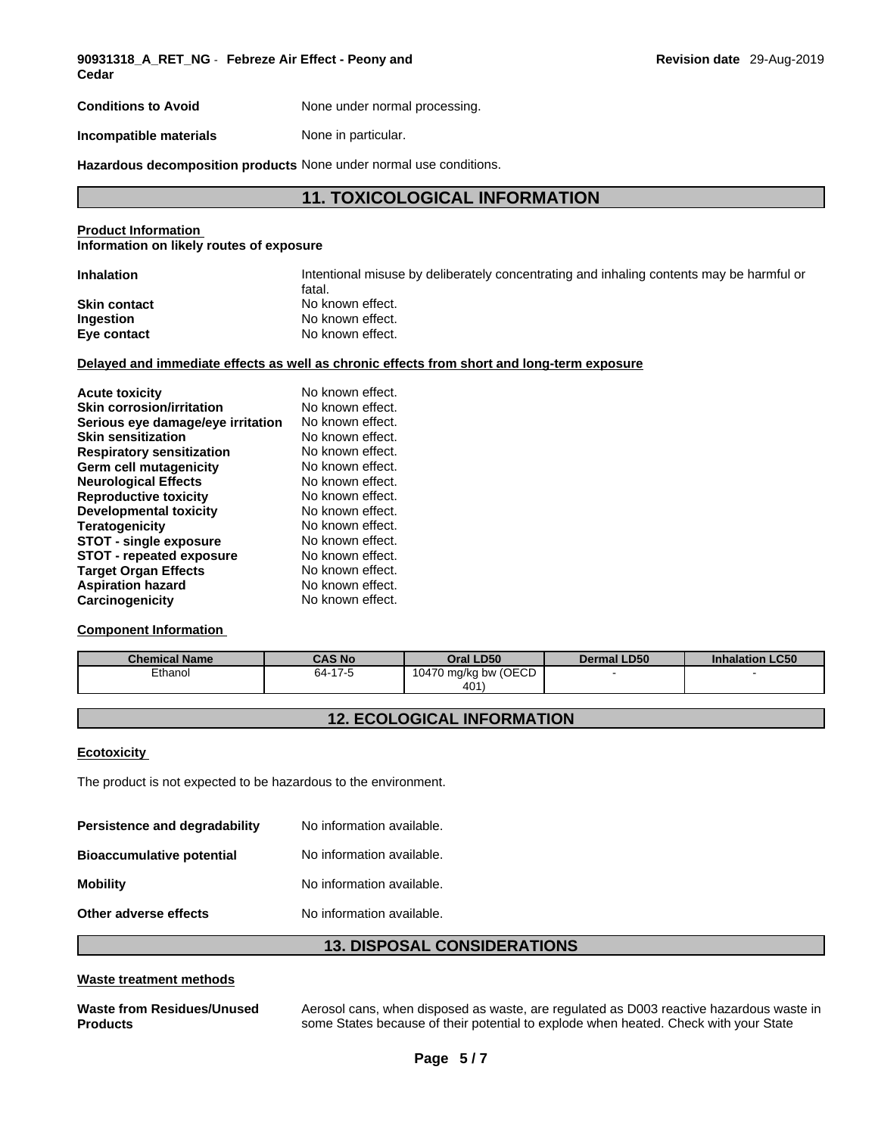**90931318\_A\_RET\_NG** - **Febreze Air Effect - Peony and Cedar** 

**Conditions to Avoid** None under normal processing.

**Incompatible materials** None in particular.

**Hazardous decomposition products** None under normal use conditions.

# **11. TOXICOLOGICAL INFORMATION**

### **Product Information Information on likely routes of exposure**

| <b>Inhalation</b>   | Intentional misuse by deliberately concentrating and inhaling contents may be harmful or |
|---------------------|------------------------------------------------------------------------------------------|
|                     | fatal.                                                                                   |
| <b>Skin contact</b> | No known effect.                                                                         |
| Ingestion           | No known effect.                                                                         |
| Eye contact         | No known effect.                                                                         |

# **Delayed and immediate effects as well as chronic effects from short and long-term exposure**

| <b>Acute toxicity</b>             | No known effect. |
|-----------------------------------|------------------|
| <b>Skin corrosion/irritation</b>  | No known effect. |
| Serious eye damage/eye irritation | No known effect. |
| <b>Skin sensitization</b>         | No known effect. |
| <b>Respiratory sensitization</b>  | No known effect. |
| Germ cell mutagenicity            | No known effect. |
| <b>Neurological Effects</b>       | No known effect. |
| <b>Reproductive toxicity</b>      | No known effect. |
| Developmental toxicity            | No known effect. |
| <b>Teratogenicity</b>             | No known effect. |
| STOT - single exposure            | No known effect. |
| <b>STOT - repeated exposure</b>   | No known effect. |
| <b>Target Organ Effects</b>       | No known effect. |
| <b>Aspiration hazard</b>          | No known effect. |
| Carcinogenicity                   | No known effect. |

# **Component Information**

| <b>Chemical Name</b> | <b>CAS No</b> | Oral LD50            | <b>Dermal LD50</b> | <b>Inhalation LC50</b> |
|----------------------|---------------|----------------------|--------------------|------------------------|
| Ethanol              | 64-17-5       | 10470 mg/kg bw (OECD |                    |                        |
|                      |               | 401                  |                    |                        |

# **12. ECOLOGICAL INFORMATION**

### **Ecotoxicity**

The product is not expected to be hazardous to the environment.

| Persistence and degradability    | No information available. |
|----------------------------------|---------------------------|
| <b>Bioaccumulative potential</b> | No information available. |
| <b>Mobility</b>                  | No information available. |
| Other adverse effects            | No information available. |

# **13. DISPOSAL CONSIDERATIONS**

# **Waste treatment methods**

#### **Waste from Residues/Unused Products**  Aerosol cans, when disposed as waste, are regulated as D003 reactive hazardous waste in some States because of their potential to explode when heated. Check with your State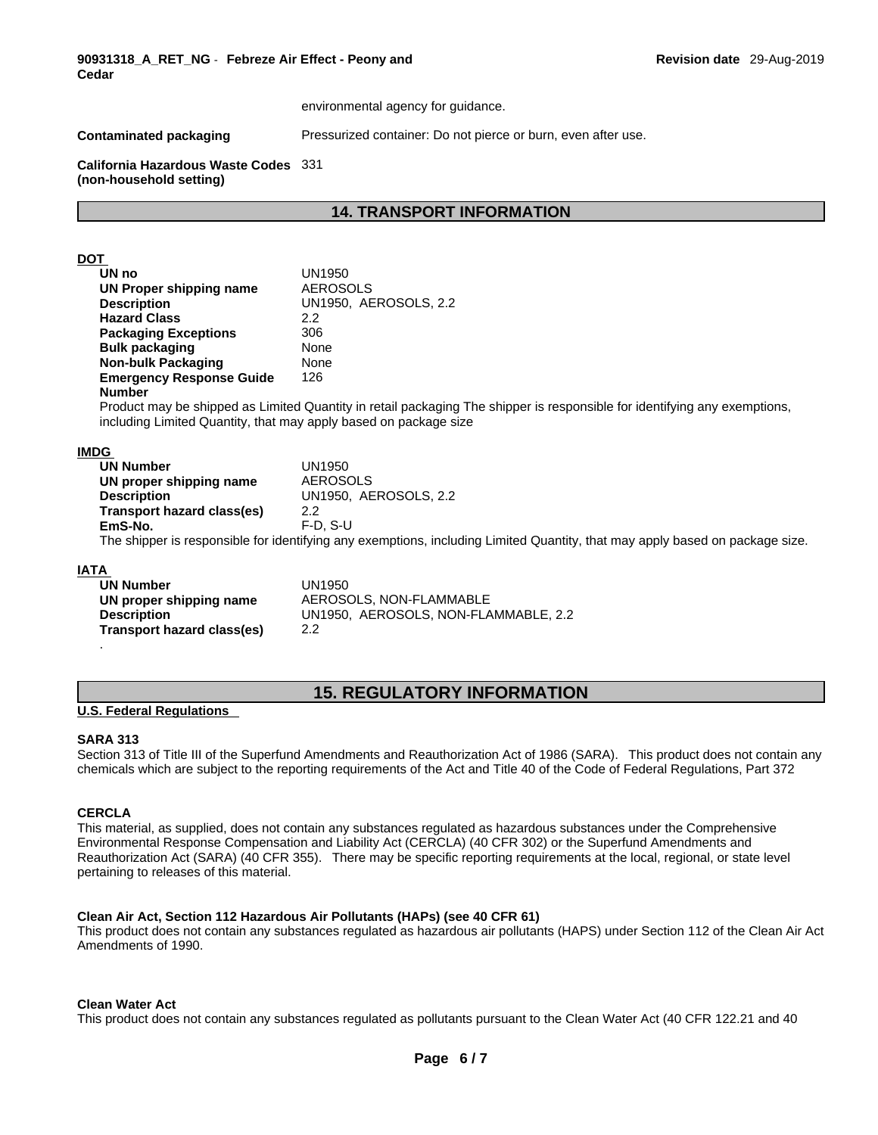environmental agency for guidance.

**Contaminated packaging <b>Pressurized container:** Do not pierce or burn, even after use.

**California Hazardous Waste Codes** 331 **(non-household setting)**

# **14. TRANSPORT INFORMATION**

# **DOT**

| UN no                           | <b>UN1950</b>         |
|---------------------------------|-----------------------|
| UN Proper shipping name         | <b>AEROSOLS</b>       |
| <b>Description</b>              | UN1950, AEROSOLS, 2.2 |
| <b>Hazard Class</b>             | 2.2                   |
| <b>Packaging Exceptions</b>     | 306                   |
| <b>Bulk packaging</b>           | None                  |
| Non-bulk Packaging              | None                  |
| <b>Emergency Response Guide</b> | 126                   |
| <b>Number</b>                   |                       |

Product may be shipped as Limited Quantity in retail packaging The shipper is responsible for identifying any exemptions, including Limited Quantity, that may apply based on package size

### **IMDG**

| <b>UN Number</b>           | UN1950.                                                                                                                      |
|----------------------------|------------------------------------------------------------------------------------------------------------------------------|
| UN proper shipping name    | <b>AEROSOLS</b>                                                                                                              |
| <b>Description</b>         | UN1950. AEROSOLS, 2.2                                                                                                        |
| Transport hazard class(es) | 2.2                                                                                                                          |
| EmS-No.                    | $F-D.S-U$                                                                                                                    |
|                            | The shipper is responsible for identifying any exemptions, including Limited Quantity, that may apply based on package size. |

### **IATA**

| <b>UN Number</b>           | UN1950                               |
|----------------------------|--------------------------------------|
| UN proper shipping name    | AEROSOLS, NON-FLAMMABLE              |
| <b>Description</b>         | UN1950, AEROSOLS, NON-FLAMMABLE, 2.2 |
| Transport hazard class(es) | 2.2                                  |
|                            |                                      |

# **15. REGULATORY INFORMATION**

### **U.S. Federal Regulations**

# **SARA 313**

Section 313 of Title III of the Superfund Amendments and Reauthorization Act of 1986 (SARA). This product does not contain any chemicals which are subject to the reporting requirements of the Act and Title 40 of the Code of Federal Regulations, Part 372

# **CERCLA**

This material, as supplied, does not contain any substances regulated as hazardous substances under the Comprehensive Environmental Response Compensation and Liability Act (CERCLA) (40 CFR 302) or the Superfund Amendments and Reauthorization Act (SARA) (40 CFR 355). There may be specific reporting requirements at the local, regional, or state level pertaining to releases of this material.

# **Clean Air Act,Section 112 Hazardous Air Pollutants (HAPs) (see 40 CFR 61)**

This product does not contain any substances regulated as hazardous air pollutants (HAPS) under Section 112 of the Clean Air Act Amendments of 1990.

### **Clean Water Act**

This product does not contain any substances regulated as pollutants pursuant to the Clean Water Act (40 CFR 122.21 and 40